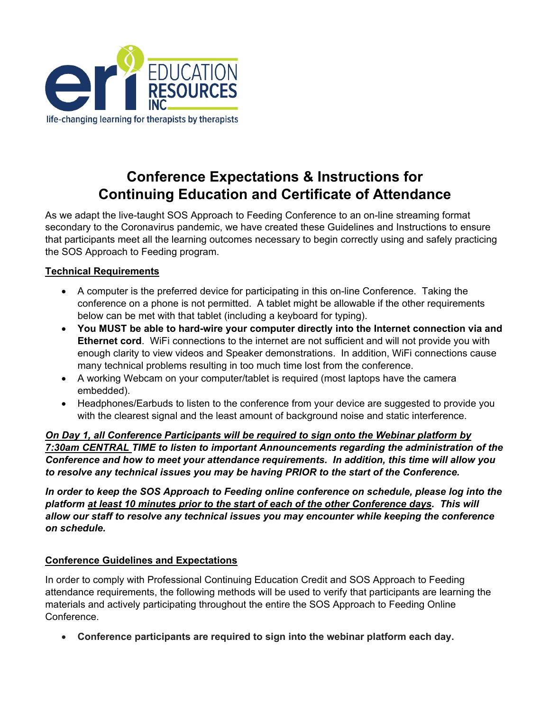

## **Conference Expectations & Instructions for Continuing Education and Certificate of Attendance**

As we adapt the live-taught SOS Approach to Feeding Conference to an on-line streaming format secondary to the Coronavirus pandemic, we have created these Guidelines and Instructions to ensure that participants meet all the learning outcomes necessary to begin correctly using and safely practicing the SOS Approach to Feeding program.

## **Technical Requirements**

- A computer is the preferred device for participating in this on-line Conference. Taking the conference on a phone is not permitted. A tablet might be allowable if the other requirements below can be met with that tablet (including a keyboard for typing).
- **You MUST be able to hard-wire your computer directly into the Internet connection via and Ethernet cord**. WiFi connections to the internet are not sufficient and will not provide you with enough clarity to view videos and Speaker demonstrations. In addition, WiFi connections cause many technical problems resulting in too much time lost from the conference.
- A working Webcam on your computer/tablet is required (most laptops have the camera embedded).
- Headphones/Earbuds to listen to the conference from your device are suggested to provide you with the clearest signal and the least amount of background noise and static interference.

*On Day 1, all Conference Participants will be required to sign onto the Webinar platform by 7:30am CENTRAL TIME to listen to important Announcements regarding the administration of the Conference and how to meet your attendance requirements. In addition, this time will allow you to resolve any technical issues you may be having PRIOR to the start of the Conference.*

*In order to keep the SOS Approach to Feeding online conference on schedule, please log into the platform at least 10 minutes prior to the start of each of the other Conference days. This will allow our staff to resolve any technical issues you may encounter while keeping the conference on schedule.*

## **Conference Guidelines and Expectations**

In order to comply with Professional Continuing Education Credit and SOS Approach to Feeding attendance requirements, the following methods will be used to verify that participants are learning the materials and actively participating throughout the entire the SOS Approach to Feeding Online Conference.

• **Conference participants are required to sign into the webinar platform each day.**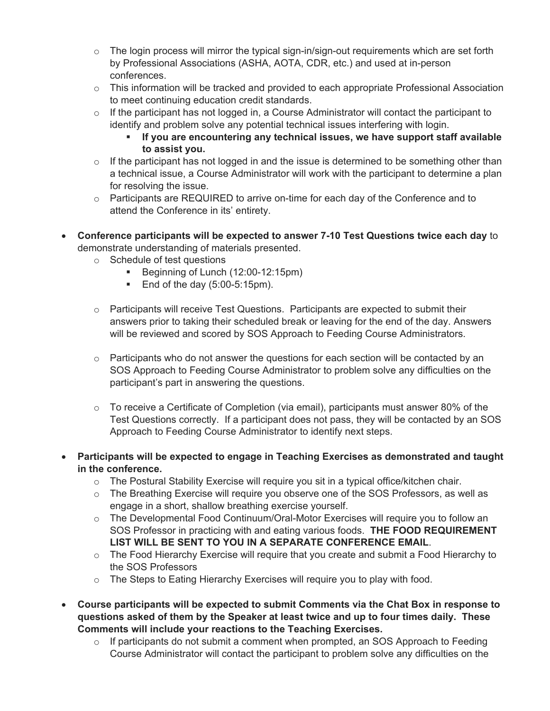- $\circ$  The login process will mirror the typical sign-in/sign-out requirements which are set forth by Professional Associations (ASHA, AOTA, CDR, etc.) and used at in-person conferences.
- $\circ$  This information will be tracked and provided to each appropriate Professional Association to meet continuing education credit standards.
- $\circ$  If the participant has not logged in, a Course Administrator will contact the participant to identify and problem solve any potential technical issues interfering with login.
	- **If you are encountering any technical issues, we have support staff available to assist you.**
- $\circ$  If the participant has not logged in and the issue is determined to be something other than a technical issue, a Course Administrator will work with the participant to determine a plan for resolving the issue.
- $\circ$  Participants are REQUIRED to arrive on-time for each day of the Conference and to attend the Conference in its' entirety.
- **Conference participants will be expected to answer 7-10 Test Questions twice each day** to demonstrate understanding of materials presented.
	- o Schedule of test questions
		- Beginning of Lunch (12:00-12:15pm)
		- $\blacksquare$  End of the day (5:00-5:15pm).
	- $\circ$  Participants will receive Test Questions. Participants are expected to submit their answers prior to taking their scheduled break or leaving for the end of the day. Answers will be reviewed and scored by SOS Approach to Feeding Course Administrators.
	- $\circ$  Participants who do not answer the questions for each section will be contacted by an SOS Approach to Feeding Course Administrator to problem solve any difficulties on the participant's part in answering the questions.
	- $\circ$  To receive a Certificate of Completion (via email), participants must answer 80% of the Test Questions correctly. If a participant does not pass, they will be contacted by an SOS Approach to Feeding Course Administrator to identify next steps.
- **Participants will be expected to engage in Teaching Exercises as demonstrated and taught in the conference.**
	- $\circ$  The Postural Stability Exercise will require you sit in a typical office/kitchen chair.
	- o The Breathing Exercise will require you observe one of the SOS Professors, as well as engage in a short, shallow breathing exercise yourself.
	- o The Developmental Food Continuum/Oral-Motor Exercises will require you to follow an SOS Professor in practicing with and eating various foods. **THE FOOD REQUIREMENT LIST WILL BE SENT TO YOU IN A SEPARATE CONFERENCE EMAIL**.
	- $\circ$  The Food Hierarchy Exercise will require that you create and submit a Food Hierarchy to the SOS Professors
	- $\circ$  The Steps to Eating Hierarchy Exercises will require you to play with food.
- **Course participants will be expected to submit Comments via the Chat Box in response to questions asked of them by the Speaker at least twice and up to four times daily. These Comments will include your reactions to the Teaching Exercises.**
	- $\circ$  If participants do not submit a comment when prompted, an SOS Approach to Feeding Course Administrator will contact the participant to problem solve any difficulties on the